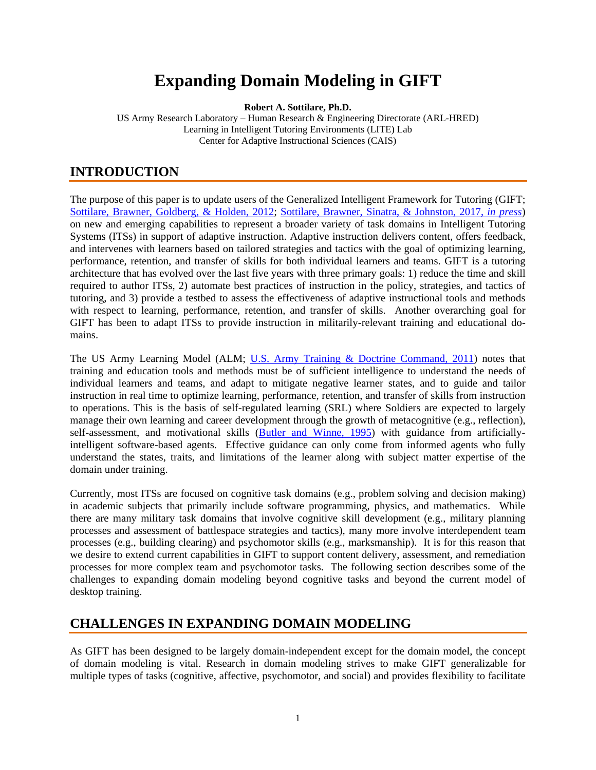# **Expanding Domain Modeling in GIFT**

**Robert A. Sottilare, Ph.D.**

US Army Research Laboratory – Human Research & Engineering Directorate (ARL-HRED) Learning in Intelligent Tutoring Environments (LITE) Lab Center for Adaptive Instructional Sciences (CAIS)

### **INTRODUCTION**

The purpose of this paper is to update users of the Generalized Intelligent Framework for Tutoring (GIFT; [Sottilare, Brawner, Goldberg, &](#page-5-0) Holden, 2012; [Sottilare, Brawner, Sinatra, & Johnston, 2017,](#page-5-1) *in press*) on new and emerging capabilities to represent a broader variety of task domains in Intelligent Tutoring Systems (ITSs) in support of adaptive instruction. Adaptive instruction delivers content, offers feedback, and intervenes with learners based on tailored strategies and tactics with the goal of optimizing learning, performance, retention, and transfer of skills for both individual learners and teams. GIFT is a tutoring architecture that has evolved over the last five years with three primary goals: 1) reduce the time and skill required to author ITSs, 2) automate best practices of instruction in the policy, strategies, and tactics of tutoring, and 3) provide a testbed to assess the effectiveness of adaptive instructional tools and methods with respect to learning, performance, retention, and transfer of skills. Another overarching goal for GIFT has been to adapt ITSs to provide instruction in militarily-relevant training and educational domains.

The US Army Learning Model (ALM; [U.S. Army Training & Doctrine Command, 2011\)](#page-6-0) notes that training and education tools and methods must be of sufficient intelligence to understand the needs of individual learners and teams, and adapt to mitigate negative learner states, and to guide and tailor instruction in real time to optimize learning, performance, retention, and transfer of skills from instruction to operations. This is the basis of self-regulated learning (SRL) where Soldiers are expected to largely manage their own learning and career development through the growth of metacognitive (e.g., reflection), self-assessment, and motivational skills [\(Butler and Winne,](#page-5-0) 1995) with guidance from artificiallyintelligent software-based agents. Effective guidance can only come from informed agents who fully understand the states, traits, and limitations of the learner along with subject matter expertise of the domain under training.

Currently, most ITSs are focused on cognitive task domains (e.g., problem solving and decision making) in academic subjects that primarily include software programming, physics, and mathematics. While there are many military task domains that involve cognitive skill development (e.g., military planning processes and assessment of battlespace strategies and tactics), many more involve interdependent team processes (e.g., building clearing) and psychomotor skills (e.g., marksmanship). It is for this reason that we desire to extend current capabilities in GIFT to support content delivery, assessment, and remediation processes for more complex team and psychomotor tasks. The following section describes some of the challenges to expanding domain modeling beyond cognitive tasks and beyond the current model of desktop training.

#### **CHALLENGES IN EXPANDING DOMAIN MODELING**

As GIFT has been designed to be largely domain-independent except for the domain model, the concept of domain modeling is vital. Research in domain modeling strives to make GIFT generalizable for multiple types of tasks (cognitive, affective, psychomotor, and social) and provides flexibility to facilitate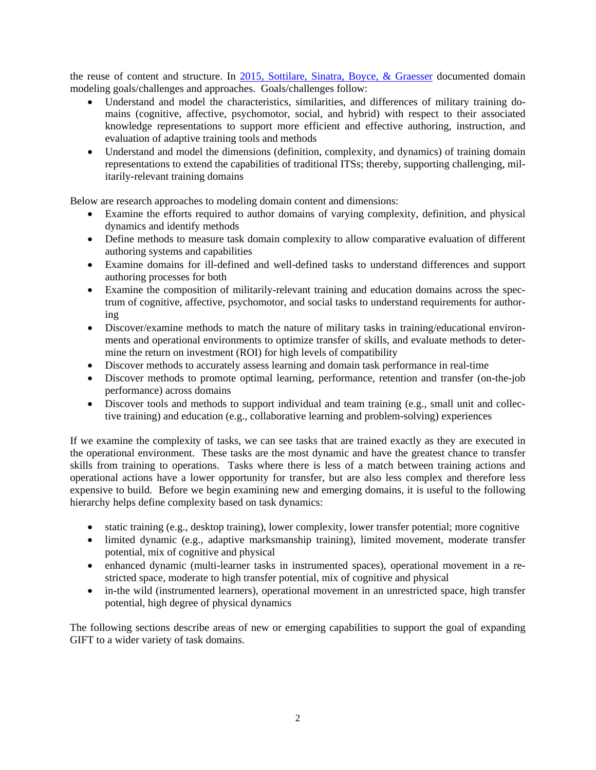the reuse of content and structure. In [2015, Sottilare, Sinatra, Boyce, &](#page-5-1) Graesser documented domain modeling goals/challenges and approaches. Goals/challenges follow:

- Understand and model the characteristics, similarities, and differences of military training domains (cognitive, affective, psychomotor, social, and hybrid) with respect to their associated knowledge representations to support more efficient and effective authoring, instruction, and evaluation of adaptive training tools and methods
- Understand and model the dimensions (definition, complexity, and dynamics) of training domain representations to extend the capabilities of traditional ITSs; thereby, supporting challenging, militarily-relevant training domains

Below are research approaches to modeling domain content and dimensions:

- Examine the efforts required to author domains of varying complexity, definition, and physical dynamics and identify methods
- Define methods to measure task domain complexity to allow comparative evaluation of different authoring systems and capabilities
- Examine domains for ill-defined and well-defined tasks to understand differences and support authoring processes for both
- Examine the composition of militarily-relevant training and education domains across the spectrum of cognitive, affective, psychomotor, and social tasks to understand requirements for authoring
- Discover/examine methods to match the nature of military tasks in training/educational environments and operational environments to optimize transfer of skills, and evaluate methods to determine the return on investment (ROI) for high levels of compatibility
- Discover methods to accurately assess learning and domain task performance in real-time
- Discover methods to promote optimal learning, performance, retention and transfer (on-the-job performance) across domains
- Discover tools and methods to support individual and team training (e.g., small unit and collective training) and education (e.g., collaborative learning and problem-solving) experiences

If we examine the complexity of tasks, we can see tasks that are trained exactly as they are executed in the operational environment. These tasks are the most dynamic and have the greatest chance to transfer skills from training to operations. Tasks where there is less of a match between training actions and operational actions have a lower opportunity for transfer, but are also less complex and therefore less expensive to build. Before we begin examining new and emerging domains, it is useful to the following hierarchy helps define complexity based on task dynamics:

- static training (e.g., desktop training), lower complexity, lower transfer potential; more cognitive
- limited dynamic (e.g., adaptive marksmanship training), limited movement, moderate transfer potential, mix of cognitive and physical
- enhanced dynamic (multi-learner tasks in instrumented spaces), operational movement in a restricted space, moderate to high transfer potential, mix of cognitive and physical
- in-the wild (instrumented learners), operational movement in an unrestricted space, high transfer potential, high degree of physical dynamics

The following sections describe areas of new or emerging capabilities to support the goal of expanding GIFT to a wider variety of task domains.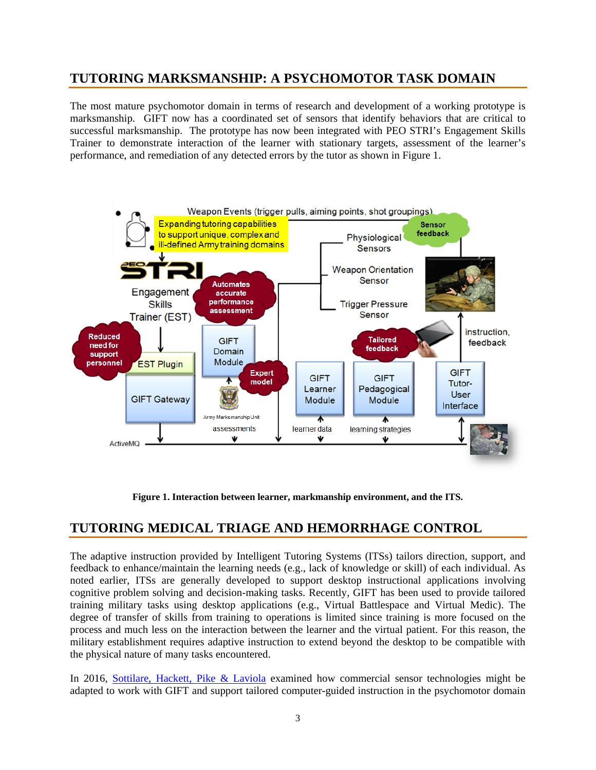### **TUTORING MARKSMANSHIP: A PSYCHOMOTOR TASK DOMAIN**

The most mature psychomotor domain in terms of research and development of a working prototype is marksmanship. GIFT now has a coordinated set of sensors that identify behaviors that are critical to successful marksmanship. The prototype has now been integrated with PEO STRI's Engagement Skills Trainer to demonstrate interaction of the learner with stationary targets, assessment of the learner's performance, and remediation of any detected errors by the tutor as shown in Figure 1.



**Figure 1. Interaction between learner, markmanship environment, and the ITS.**

#### **TUTORING MEDICAL TRIAGE AND HEMORRHAGE CONTROL**

The adaptive instruction provided by Intelligent Tutoring Systems (ITSs) tailors direction, support, and feedback to enhance/maintain the learning needs (e.g., lack of knowledge or skill) of each individual. As noted earlier, ITSs are generally developed to support desktop instructional applications involving cognitive problem solving and decision-making tasks. Recently, GIFT has been used to provide tailored training military tasks using desktop applications (e.g., Virtual Battlespace and Virtual Medic). The degree of transfer of skills from training to operations is limited since training is more focused on the process and much less on the interaction between the learner and the virtual patient. For this reason, the military establishment requires adaptive instruction to extend beyond the desktop to be compatible with the physical nature of many tasks encountered.

In 2016, [Sottilare, Hackett, Pike & Laviola](#page-5-1) examined how commercial sensor technologies might be adapted to work with GIFT and support tailored computer-guided instruction in the psychomotor domain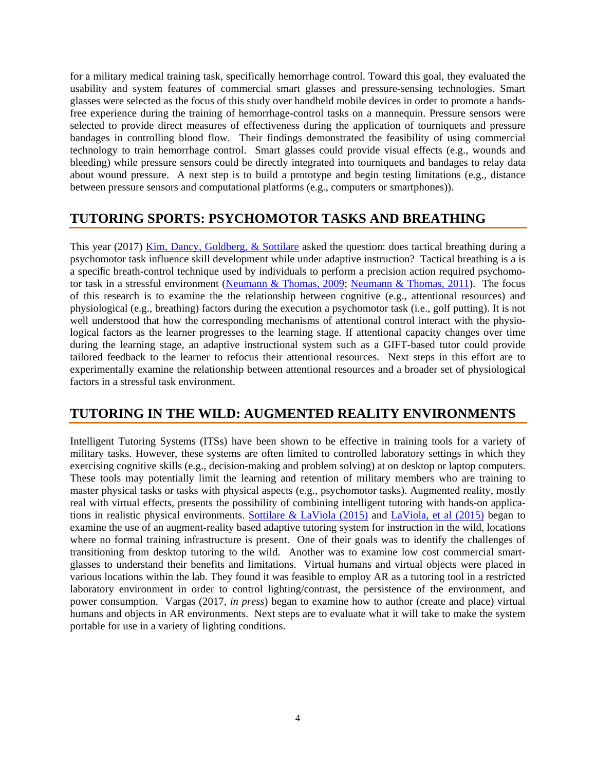for a military medical training task, specifically hemorrhage control. Toward this goal, they evaluated the usability and system features of commercial smart glasses and pressure-sensing technologies. Smart glasses were selected as the focus of this study over handheld mobile devices in order to promote a handsfree experience during the training of hemorrhage-control tasks on a mannequin. Pressure sensors were selected to provide direct measures of effectiveness during the application of tourniquets and pressure bandages in controlling blood flow. Their findings demonstrated the feasibility of using commercial technology to train hemorrhage control. Smart glasses could provide visual effects (e.g., wounds and bleeding) while pressure sensors could be directly integrated into tourniquets and bandages to relay data about wound pressure. A next step is to build a prototype and begin testing limitations (e.g., distance between pressure sensors and computational platforms (e.g., computers or smartphones)).

## **TUTORING SPORTS: PSYCHOMOTOR TASKS AND BREATHING**

This year (2017) [Kim, Dancy, Goldberg, & Sottilare](#page-5-2) asked the question: does tactical breathing during a psychomotor task influence skill development while under adaptive instruction? Tactical breathing is a is a specific breath-control technique used by individuals to perform a precision action required psychomotor task in a stressful environment [\(Neumann & Thomas, 2009;](#page-5-3) [Neumann & Thomas, 2011\)](#page-5-4). The focus of this research is to examine the the relationship between cognitive (e.g., attentional resources) and physiological (e.g., breathing) factors during the execution a psychomotor task (i.e., golf putting). It is not well understood that how the corresponding mechanisms of attentional control interact with the physiological factors as the learner progresses to the learning stage. If attentional capacity changes over time during the learning stage, an adaptive instructional system such as a GIFT-based tutor could provide tailored feedback to the learner to refocus their attentional resources. Next steps in this effort are to experimentally examine the relationship between attentional resources and a broader set of physiological factors in a stressful task environment.

#### **TUTORING IN THE WILD: AUGMENTED REALITY ENVIRONMENTS**

Intelligent Tutoring Systems (ITSs) have been shown to be effective in training tools for a variety of military tasks. However, these systems are often limited to controlled laboratory settings in which they exercising cognitive skills (e.g., decision-making and problem solving) at on desktop or laptop computers. These tools may potentially limit the learning and retention of military members who are training to master physical tasks or tasks with physical aspects (e.g., psychomotor tasks). Augmented reality, mostly real with virtual effects, presents the possibility of combining intelligent tutoring with hands-on applications in realistic physical environments. [Sottilare & LaViola \(2015\)](#page-5-5) and [LaViola, et al \(2015\)](#page-5-6) began to examine the use of an augment-reality based adaptive tutoring system for instruction in the wild, locations where no formal training infrastructure is present. One of their goals was to identify the challenges of transitioning from desktop tutoring to the wild. Another was to examine low cost commercial smartglasses to understand their benefits and limitations. Virtual humans and virtual objects were placed in various locations within the lab. They found it was feasible to employ AR as a tutoring tool in a restricted laboratory environment in order to control lighting/contrast, the persistence of the environment, and power consumption. Vargas (2017, *in press*) began to examine how to author (create and place) virtual humans and objects in AR environments. Next steps are to evaluate what it will take to make the system portable for use in a variety of lighting conditions.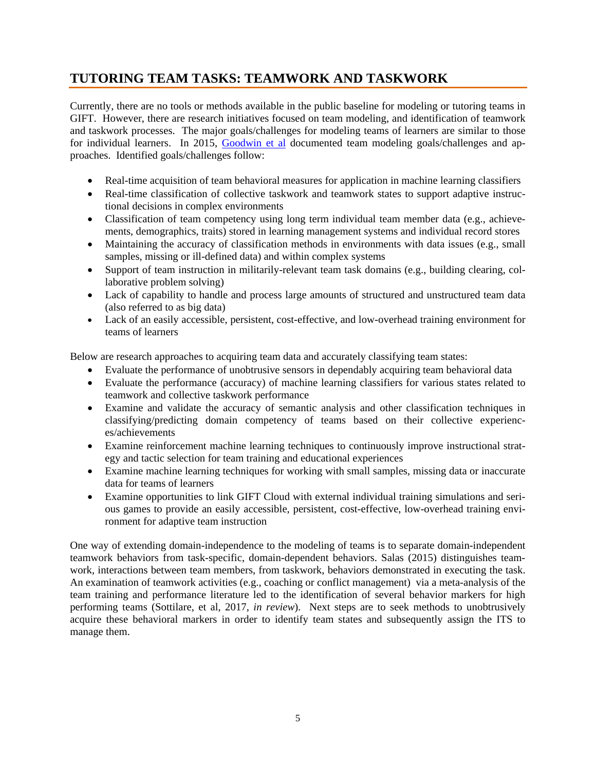## **TUTORING TEAM TASKS: TEAMWORK AND TASKWORK**

Currently, there are no tools or methods available in the public baseline for modeling or tutoring teams in GIFT. However, there are research initiatives focused on team modeling, and identification of teamwork and taskwork processes. The major goals/challenges for modeling teams of learners are similar to those for individual learners. In 2015, [Goodwin et al](#page-5-0) documented team modeling goals/challenges and approaches. Identified goals/challenges follow:

- Real-time acquisition of team behavioral measures for application in machine learning classifiers
- Real-time classification of collective taskwork and teamwork states to support adaptive instructional decisions in complex environments
- Classification of team competency using long term individual team member data (e.g., achievements, demographics, traits) stored in learning management systems and individual record stores
- Maintaining the accuracy of classification methods in environments with data issues (e.g., small samples, missing or ill-defined data) and within complex systems
- Support of team instruction in militarily-relevant team task domains (e.g., building clearing, collaborative problem solving)
- Lack of capability to handle and process large amounts of structured and unstructured team data (also referred to as big data)
- Lack of an easily accessible, persistent, cost-effective, and low-overhead training environment for teams of learners

Below are research approaches to acquiring team data and accurately classifying team states:

- Evaluate the performance of unobtrusive sensors in dependably acquiring team behavioral data
- Evaluate the performance (accuracy) of machine learning classifiers for various states related to teamwork and collective taskwork performance
- Examine and validate the accuracy of semantic analysis and other classification techniques in classifying/predicting domain competency of teams based on their collective experiences/achievements
- Examine reinforcement machine learning techniques to continuously improve instructional strategy and tactic selection for team training and educational experiences
- Examine machine learning techniques for working with small samples, missing data or inaccurate data for teams of learners
- Examine opportunities to link GIFT Cloud with external individual training simulations and serious games to provide an easily accessible, persistent, cost-effective, low-overhead training environment for adaptive team instruction

One way of extending domain-independence to the modeling of teams is to separate domain-independent teamwork behaviors from task-specific, domain-dependent behaviors. Salas (2015) distinguishes teamwork, interactions between team members, from taskwork, behaviors demonstrated in executing the task. An examination of teamwork activities (e.g., coaching or conflict management) via a meta-analysis of the team training and performance literature led to the identification of several behavior markers for high performing teams (Sottilare, et al, 2017, *in review*). Next steps are to seek methods to unobtrusively acquire these behavioral markers in order to identify team states and subsequently assign the ITS to manage them.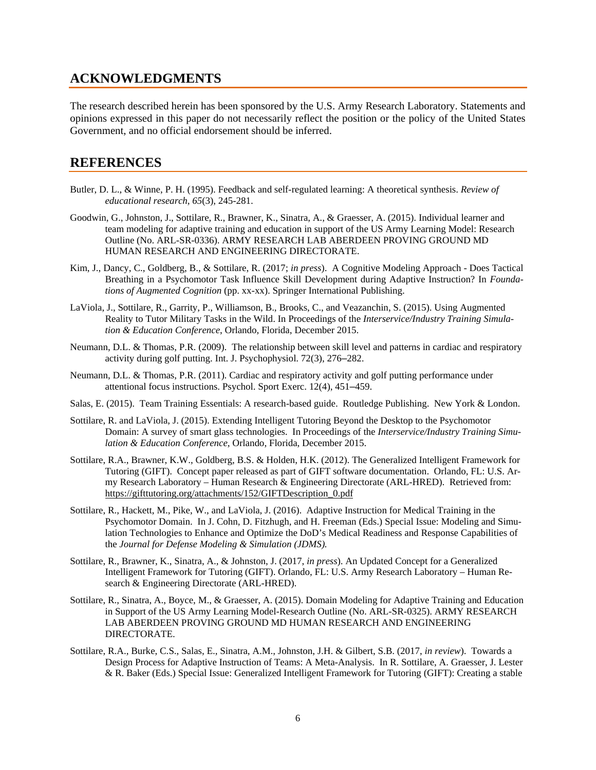#### **ACKNOWLEDGMENTS**

The research described herein has been sponsored by the U.S. Army Research Laboratory. Statements and opinions expressed in this paper do not necessarily reflect the position or the policy of the United States Government, and no official endorsement should be inferred.

#### **REFERENCES**

- <span id="page-5-0"></span>Butler, D. L., & Winne, P. H. (1995). Feedback and self-regulated learning: A theoretical synthesis. *Review of educational research, 65*(3), 245-281.
- Goodwin, G., Johnston, J., Sottilare, R., Brawner, K., Sinatra, A., & Graesser, A. (2015). Individual learner and team modeling for adaptive training and education in support of the US Army Learning Model: Research Outline (No. ARL-SR-0336). ARMY RESEARCH LAB ABERDEEN PROVING GROUND MD HUMAN RESEARCH AND ENGINEERING DIRECTORATE.
- <span id="page-5-2"></span>Kim, J., Dancy, C., Goldberg, B., & Sottilare, R. (2017; *in press*). A Cognitive Modeling Approach - Does Tactical Breathing in a Psychomotor Task Influence Skill Development during Adaptive Instruction? In *Foundations of Augmented Cognition* (pp. xx-xx). Springer International Publishing.
- <span id="page-5-6"></span>LaViola, J., Sottilare, R., Garrity, P., Williamson, B., Brooks, C., and Veazanchin, S. (2015). Using Augmented Reality to Tutor Military Tasks in the Wild. In Proceedings of the *Interservice/Industry Training Simulation & Education Conference*, Orlando, Florida, December 2015.
- <span id="page-5-3"></span>Neumann, D.L. & Thomas, P.R. (2009). The relationship between skill level and patterns in cardiac and respiratory activity during golf putting. Int. J. Psychophysiol. 72(3), 276–282.
- <span id="page-5-4"></span>Neumann, D.L. & Thomas, P.R. (2011). Cardiac and respiratory activity and golf putting performance under attentional focus instructions. Psychol. Sport Exerc. 12(4), 451–459.
- <span id="page-5-5"></span>Salas, E. (2015). Team Training Essentials: A research-based guide. Routledge Publishing. New York & London.
- Sottilare, R. and LaViola, J. (2015). Extending Intelligent Tutoring Beyond the Desktop to the Psychomotor Domain: A survey of smart glass technologies. In Proceedings of the *Interservice/Industry Training Simulation & Education Conference*, Orlando, Florida, December 2015.
- Sottilare, R.A., Brawner, K.W., Goldberg, B.S. & Holden, H.K. (2012). The Generalized Intelligent Framework for Tutoring (GIFT). Concept paper released as part of GIFT software documentation. Orlando, FL: U.S. Army Research Laboratory – Human Research & Engineering Directorate (ARL-HRED). Retrieved from: [https://gifttutoring.org/attachments/152/GIFTDescription\\_0.pdf](https://gifttutoring.org/attachments/152/GIFTDescription_0.pdf)
- <span id="page-5-1"></span>Sottilare, R., Hackett, M., Pike, W., and LaViola, J. (2016). Adaptive Instruction for Medical Training in the Psychomotor Domain. In J. Cohn, D. Fitzhugh, and H. Freeman (Eds.) Special Issue: Modeling and Simulation Technologies to Enhance and Optimize the DoD's Medical Readiness and Response Capabilities of the *Journal for Defense Modeling & Simulation (JDMS).*
- Sottilare, R., Brawner, K., Sinatra, A., & Johnston, J. (2017, *in press*). An Updated Concept for a Generalized Intelligent Framework for Tutoring (GIFT). Orlando, FL: U.S. Army Research Laboratory – Human Research & Engineering Directorate (ARL-HRED).
- Sottilare, R., Sinatra, A., Boyce, M., & Graesser, A. (2015). Domain Modeling for Adaptive Training and Education in Support of the US Army Learning Model-Research Outline (No. ARL-SR-0325). ARMY RESEARCH LAB ABERDEEN PROVING GROUND MD HUMAN RESEARCH AND ENGINEERING DIRECTORATE.
- Sottilare, R.A., Burke, C.S., Salas, E., Sinatra, A.M., Johnston, J.H. & Gilbert, S.B. (2017, *in review*). Towards a Design Process for Adaptive Instruction of Teams: A Meta-Analysis. In R. Sottilare, A. Graesser, J. Lester & R. Baker (Eds.) Special Issue: Generalized Intelligent Framework for Tutoring (GIFT): Creating a stable